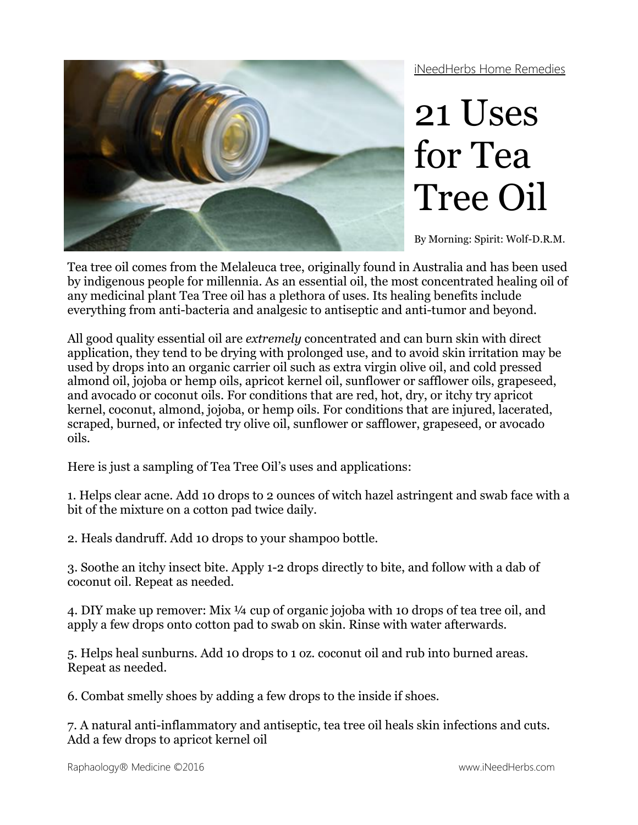iNeedHerbs Home Remedies



## 21 Uses for Tea Tree Oil

By Morning: Spirit: Wolf-D.R.M.

Tea tree oil comes from the Melaleuca tree, originally found in Australia and has been used by indigenous people for millennia. As an essential oil, the most concentrated healing oil of any medicinal plant Tea Tree oil has a plethora of uses. Its healing benefits include everything from anti-bacteria and analgesic to antiseptic and anti-tumor and beyond.

All good quality essential oil are *extremely* concentrated and can burn skin with direct application, they tend to be drying with prolonged use, and to avoid skin irritation may be used by drops into an organic carrier oil such as extra virgin olive oil, and cold pressed almond oil, jojoba or hemp oils, apricot kernel oil, sunflower or safflower oils, grapeseed, and avocado or coconut oils. For conditions that are red, hot, dry, or itchy try apricot kernel, coconut, almond, jojoba, or hemp oils. For conditions that are injured, lacerated, scraped, burned, or infected try olive oil, sunflower or safflower, grapeseed, or avocado oils.

Here is just a sampling of Tea Tree Oil's uses and applications:

1. Helps clear acne. Add 10 drops to 2 ounces of witch hazel astringent and swab face with a bit of the mixture on a cotton pad twice daily.

2. Heals dandruff. Add 10 drops to your [shampoo](http://www.luckyvitamin.com/c-604-shampoos) bottle.

3. Soothe an itchy insect bite. Apply 1-2 drops directly to bite, and follow with a dab of coconut oil. Repeat as needed.

4. DIY make up remover: Mix ¼ cup of [organic jojoba](http://www.luckyvitamin.com/p-8310-aubrey-organics-jojoba-oil-100-certified-organic-2-oz) with 10 drops of tea tree oil, and apply a few drops onto cotton pad to swab on skin. Rinse with water afterwards.

5. Helps heal sunburns. Add 10 drops to 1 oz. coconut oil and rub into burned areas. Repeat as needed.

6. Combat smelly shoes by adding a few drops to the inside if shoes.

7. A natural anti-inflammatory and antiseptic, tea tree oil heals skin infections and cuts. Add a few drops to apricot kernel oil